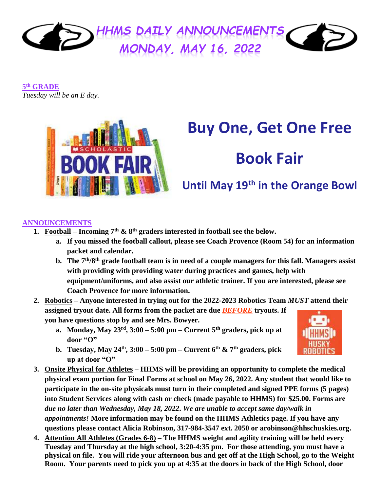

**5 th GRADE** *Tuesday will be an E day.*



# **Buy One, Get One Free**

# **Book Fair**

# **Until May 19th in the Orange Bowl**

## **ANNOUNCEMENTS**

- **1. Football Incoming 7<sup>th</sup> & 8<sup>th</sup> graders interested in football see the below.** 
	- **a. If you missed the football callout, please see Coach Provence (Room 54) for an information packet and calendar.**
	- **b. The 7th/8th grade football team is in need of a couple managers for this fall. Managers assist with providing with providing water during practices and games, help with equipment/uniforms, and also assist our athletic trainer. If you are interested, please see Coach Provence for more information.**
- **2. Robotics – Anyone interested in trying out for the 2022-2023 Robotics Team** *MUST* **attend their assigned tryout date. All forms from the packet are due** *BEFORE* **tryouts. If you have questions stop by and see Mrs. Bowyer.**
	- **a. Monday, May 23rd, 3:00 – 5:00 pm – Current 5th graders, pick up at door "O"**
	- **b. Tuesday, May 24th , 3:00 – 5:00 pm – Current 6th & 7th graders, pick up at door "O"**
- **3. Onsite Physical for Athletes – HHMS will be providing an opportunity to complete the medical physical exam portion for Final Forms at school on May 26, 2022. Any student that would like to participate in the on-site physicals must turn in their completed and signed PPE forms (5 pages) into Student Services along with cash or check (made payable to HHMS) for \$25.00. Forms are**  *due no later than Wednesday, May 18, 2022***.** *We are unable to accept same day/walk in appointments!* **More information may be found on the HHMS Athletics page. If you have any questions please contact Alicia Robinson, 317-984-3547 ext. 2050 or arobinson@hhschuskies.org.**
- **4. Attention All Athletes (Grades 6-8) – The HHMS weight and agility training will be held every Tuesday and Thursday at the high school, 3:20-4:35 pm. For those attending, you must have a physical on file. You will ride your afternoon bus and get off at the High School, go to the Weight Room. Your parents need to pick you up at 4:35 at the doors in back of the High School, door**

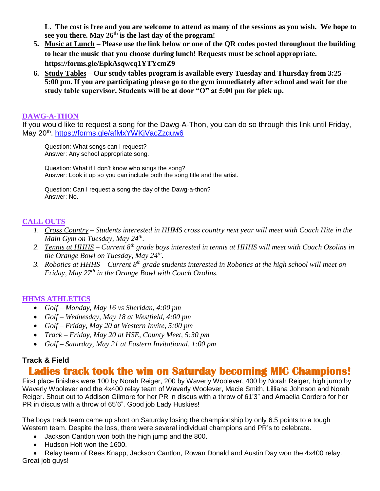**L. The cost is free and you are welcome to attend as many of the sessions as you wish. We hope to see you there. May 26th is the last day of the program!** 

- **5. Music at Lunch – Please use the link below or one of the QR codes posted throughout the building to hear the music that you choose during lunch! Requests must be school appropriate. <https://forms.gle/EpkAsqwcq1YTYcmZ9>**
- **6. Study Tables – Our study tables program is available every Tuesday and Thursday from 3:25 – 5:00 pm. If you are participating please go to the gym immediately after school and wait for the study table supervisor. Students will be at door "O" at 5:00 pm for pick up.**

#### **DAWG-A-THON**

If you would like to request a song for the Dawg-A-Thon, you can do so through this link until Friday, May 20<sup>th</sup>. <u>https://forms.gle/afMxYWKjVacZzquw6</u>

Question: What songs can I request? Answer: Any school appropriate song.

Question: What if I don't know who sings the song? Answer: Look it up so you can include both the song title and the artist.

Question: Can I request a song the day of the Dawg-a-thon? Answer: No.

# **CALL OUTS**

- *1. Cross Country – Students interested in HHMS cross country next year will meet with Coach Hite in the Main Gym on Tuesday, May 24th .*
- *2. Tennis at HHHS – Current 8th grade boys interested in tennis at HHHS will meet with Coach Ozolins in the Orange Bowl on Tuesday, May 24th .*
- 3. *Robotics at HHHS Current 8<sup>th</sup> grade students interested in Robotics at the high school will meet on Friday, May 27th in the Orange Bowl with Coach Ozolins.*

## **HHMS ATHLETICS**

- *Golf – Monday, May 16 vs Sheridan, 4:00 pm*
- *Golf – Wednesday, May 18 at Westfield, 4:00 pm*
- *Golf – Friday, May 20 at Western Invite, 5:00 pm*
- *Track – Friday, May 20 at HSE, County Meet, 5:30 pm*
- *Golf – Saturday, May 21 at Eastern Invitational, 1:00 pm*

## **Track & Field**

# **Ladies track took the win on Saturday becoming MIC Champions!**

First place finishes were 100 by Norah Reiger, 200 by Waverly Woolever, 400 by Norah Reiger, high jump by Waverly Woolever and the 4x400 relay team of Waverly Woolever, Macie Smith, Lilliana Johnson and Norah Reiger. Shout out to Addison Gilmore for her PR in discus with a throw of 61'3" and Amaelia Cordero for her PR in discus with a throw of 65'6". Good job Lady Huskies!

The boys track team came up short on Saturday losing the championship by only 6.5 points to a tough Western team. Despite the loss, there were several individual champions and PR's to celebrate.

- Jackson Cantlon won both the high jump and the 800.
- Hudson Holt won the 1600.
- Relay team of Rees Knapp, Jackson Cantlon, Rowan Donald and Austin Day won the 4x400 relay. Great job guys!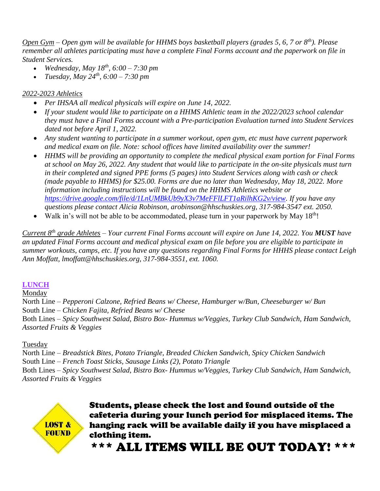*Open Gym – Open gym will be available for HHMS boys basketball players (grades 5, 6, 7 or 8th). Please remember all athletes participating must have a complete Final Forms account and the paperwork on file in Student Services.*

- *Wednesday, May 18th, 6:00 – 7:30 pm*
- *Tuesday, May 24th, 6:00 – 7:30 pm*

# *2022-2023 Athletics*

- *Per IHSAA all medical physicals will expire on June 14, 2022.*
- *If your student would like to participate on a HHMS Athletic team in the 2022/2023 school calendar they must have a Final Forms account with a Pre-participation Evaluation turned into Student Services dated not before April 1, 2022.*
- *Any student wanting to participate in a summer workout, open gym, etc must have current paperwork and medical exam on file. Note: school offices have limited availability over the summer!*
- *HHMS will be providing an opportunity to complete the medical physical exam portion for Final Forms at school on May 26, 2022. Any student that would like to participate in the on-site physicals must turn in their completed and signed PPE forms (5 pages) into Student Services along with cash or check (made payable to HHMS) for \$25.00. Forms are due no later than Wednesday, May 18, 2022. More information including instructions will be found on the HHMS Athletics website or [https://drive.google.com/file/d/1LnUMBkUb9yX3v7MeFFlLFT1aRilhKG2v/view.](https://drive.google.com/file/d/1LnUMBkUb9yX3v7MeFFlLFT1aRilhKG2v/view) If you have any questions please contact Alicia Robinson, arobinson@hhschuskies.org, 317-984-3547 ext. 2050.*
- Walk in's will not be able to be accommodated, please turn in your paperwork by May  $18<sup>th</sup>$ !

*Current 8th grade Athletes – Your current Final Forms account will expire on June 14, 2022. You MUST have an updated Final Forms account and medical physical exam on file before you are eligible to participate in summer workouts, camps, etc. If you have any questions regarding Final Forms for HHHS please contact Leigh Ann Moffatt, lmoffatt@hhschuskies.org, 317-984-3551, ext. 1060.* 

# **LUNCH**

## Monday

North Line – *Pepperoni Calzone, Refried Beans w/ Cheese, Hamburger w/Bun, Cheeseburger w/ Bun* South Line – *Chicken Fajita, Refried Beans w/ Cheese* Both Lines – *Spicy Southwest Salad, Bistro Box- Hummus w/Veggies, Turkey Club Sandwich, Ham Sandwich, Assorted Fruits & Veggies*

## Tuesday

North Line – *Breadstick Bites, Potato Triangle, Breaded Chicken Sandwich, Spicy Chicken Sandwich* South Line – *French Toast Sticks, Sausage Links (2), Potato Triangle* Both Lines – *Spicy Southwest Salad, Bistro Box- Hummus w/Veggies, Turkey Club Sandwich, Ham Sandwich, Assorted Fruits & Veggies*



Students, please check the lost and found outside of the cafeteria during your lunch period for misplaced items. The hanging rack will be available daily if you have misplaced a clothing item.

\*\*\* ALL ITEMS WILL BE OUT TODAY! \*\*\*